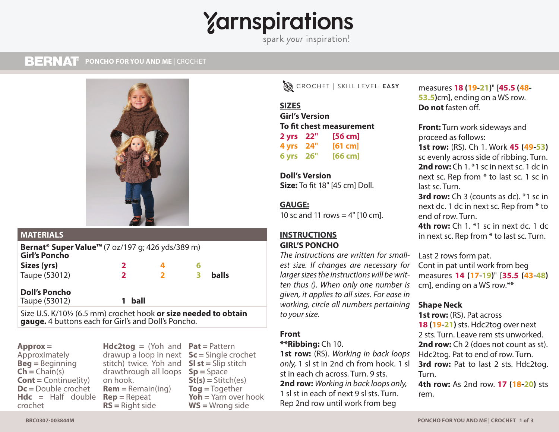# $\gamma$ arnspirations

#### **BERNAT PONCHO FOR YOU AND ME** | CROCHET **PONCHO FOR YOU AND ME** | CROCHET



| <b>MATERIALS</b>                                                                                 |              |                         |   |              |  |
|--------------------------------------------------------------------------------------------------|--------------|-------------------------|---|--------------|--|
| Bernat <sup>®</sup> Super Value <sup>™</sup> (7 oz/197 g; 426 yds/389 m)<br><b>Girl's Poncho</b> |              |                         |   |              |  |
| Sizes (yrs)                                                                                      | 2            |                         |   |              |  |
| Taupe (53012)                                                                                    | $\mathbf{2}$ | $\overline{\mathbf{2}}$ | 3 | <b>balls</b> |  |
| <b>Doll's Poncho</b><br>Taupe (53012)                                                            | ball         |                         |   |              |  |

Size U.S. K/10½ (6.5 mm) crochet hook **or size needed to obtain gauge.** 4 buttons each for Girl's and Doll's Poncho.

**Approx =** Approximately **Beg =** Beginning  $\mathsf{Ch} = \mathsf{Chain}(s)$ **Cont =** Continue(ity) **Dc =** Double crochet **Hdc =** Half double **Rep =** Repeat crochet

**Hdc2tog =** (Yoh and **Pat =** Pattern drawup a loop in next **Sc =** Single crochet stitch) twice. Yoh and **Sl st =** Slip stitch drawthrough all loops **Sp =** Space on hook. **Rem =** Remain(ing) **RS =** Right side

**St(s) =** Stitch(es) **Tog =** Together **Yoh =** Yarn over hook **WS =** Wrong side

EASY CROCHET **|** SKILL LEVEL: **EASY**

**SIZES SIZES Girl's Version To fit chest measurement 2 yrs 22" [56 cm] 4 yrs 24" [61 cm] 6 yrs 26" [66 cm]**

**Doll's Version Size:** To fit 18" [45 cm] Doll.

# **GAUGE GAUGE:**

10 sc and 11 rows  $=$  4" [10 cm].

# **INSTRUCTIONS INSTRUCTIONS GIRL'S PONCHO**

*The instructions are written for smallest size. If changes are necessary for larger sizes the instructions will be written thus (). When only one number is given, it applies to all sizes. For ease in working, circle all numbers pertaining to your size.*

# **Front**

## **\*\*Ribbing:** Ch 10.

**1st row:** (RS). *Working in back loops only,* 1 sl st in 2nd ch from hook. 1 sl st in each ch across. Turn. 9 sts. **2nd row:** *Working in back loops only,* 1 sl st in each of next 9 sl sts. Turn. Rep 2nd row until work from beg

measures **18 (19-21)**" [**45.5 (48- 53.5)**cm], ending on a WS row. **Do not** fasten off.

**Front:** Turn work sideways and proceed as follows:

**1st row:** (RS). Ch 1. Work **45 (49-53)**  sc evenly across side of ribbing. Turn. **2nd row:** Ch 1. \*1 sc in next sc. 1 dc in next sc. Rep from \* to last sc. 1 sc in last sc. Turn.

**3rd row:** Ch 3 (counts as dc). \*1 sc in next dc. 1 dc in next sc. Rep from \* to end of row. Turn.

**4th row:** Ch 1, <sup>\*</sup>1 sc in next dc, 1 dc in next sc. Rep from \* to last sc. Turn.

Last 2 rows form pat. Cont in pat until work from beg measures **14 (17-19)**" [**35.5 (43-48)** cm], ending on a WS row.\*\*

# **Shape Neck**

**1st row:** (RS). Pat across **18 (19-21)** sts. Hdc2tog over next 2 sts. Turn. Leave rem sts unworked. **2nd row:** Ch 2 (does not count as st). Hdc2tog. Pat to end of row. Turn. **3rd row:** Pat to last 2 sts. Hdc2tog. Turn.

**4th row:** As 2nd row. **17 (18-20)** sts rem.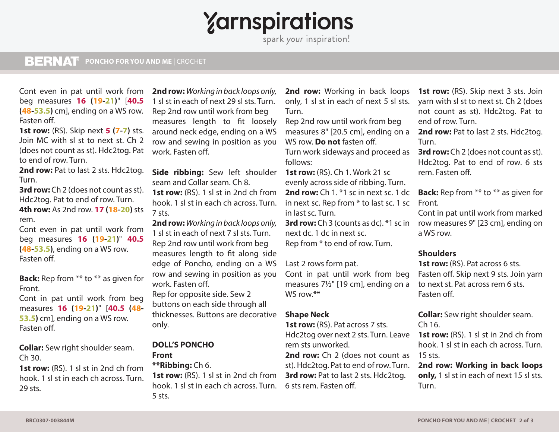# $\gamma$ arnspirations

#### **BERNAT PONCHO FOR YOU AND ME** | CROCHET **PONCHO FOR YOU AND ME** | CROCHET

Cont even in pat until work from beg measures **16 (19-21)**" [**40.5 (48-53.5)** cm], ending on a WS row. Fasten off.

**1st row:** (RS). Skip next **5 (7-7)** sts. Join MC with sl st to next st. Ch 2 (does not count as st). Hdc2tog. Pat to end of row. Turn.

2nd row: Pat to last 2 sts. Hdc2tog. Turn.

**3rd row:** Ch 2 (does not count as st). Hdc2tog. Pat to end of row. Turn. **4th row:** As 2nd row. **17 (18-20)** sts rem.

Cont even in pat until work from beg measures **16 (19-21)**" **40.5 (48-53.5)**, ending on a WS row. Fasten off.

**Back:** Rep from \*\* to \*\* as given for Front.

Cont in pat until work from beg measures **16 (19-21)**" [**40.5 (48- 53.5)** cm], ending on a WS row. Fasten off.

**Collar:** Sew right shoulder seam. Ch 30.

**1st row:** (RS). 1 sl st in 2nd ch from hook. 1 sl st in each ch across. Turn. 29 sts.

**2nd row:** *Working in back loops only,* 1 sl st in each of next 29 sl sts. Turn. Rep 2nd row until work from beg measures length to fit loosely around neck edge, ending on a WS row and sewing in position as you work. Fasten off.

**Side ribbing:** Sew left shoulder **1st row:** (RS). Ch 1. Work 21 sc seam and Collar seam. Ch 8. **1st row:** (RS). 1 sl st in 2nd ch from hook. 1 sl st in each ch across. Turn. 7 sts.

**2nd row:** *Working in back loops only,* 1 sl st in each of next 7 sl sts. Turn. Rep 2nd row until work from beg measures length to fit along side edge of Poncho, ending on a WS row and sewing in position as you work. Fasten off.

Rep for opposite side. Sew 2 buttons on each side through all thicknesses. Buttons are decorative only.

### **DOLL'S PONCHO Front \*\*Ribbing:** Ch 6.

**1st row:** (RS). 1 sl st in 2nd ch from hook. 1 sl st in each ch across. Turn. 6 sts rem. Fasten off. 5 sts.

2nd row: Working in back loops only, 1 sl st in each of next 5 sl sts. Turn.

Rep 2nd row until work from beg measures 8" [20.5 cm], ending on a WS row. **Do not** fasten off. Turn work sideways and proceed as

follows: evenly across side of ribbing. Turn. **2nd row:** Ch 1. \*1 sc in next sc. 1 dc

in next sc. Rep from \* to last sc. 1 sc Front. in last sc. Turn.

next dc. 1 dc in next sc. Rep from \* to end of row. Turn.

Last 2 rows form pat.

Cont in pat until work from beg measures 7½" [19 cm], ending on a WS row.\*\*

## **Shape Neck**

**1st row:** (RS). Pat across 7 sts. Hdc2tog over next 2 sts. Turn. Leave rem sts unworked.

2nd row: Ch 2 (does not count as 15 sts. st). Hdc2tog. Pat to end of row. Turn. **3rd row:** Pat to last 2 sts. Hdc2tog.

**1st row:** (RS). Skip next 3 sts. Join yarn with sl st to next st. Ch 2 (does not count as st). Hdc2tog. Pat to end of row. Turn.

2nd row: Pat to last 2 sts. Hdc2tog. Turn.

**3rd row:** Ch 2 (does not count as st). Hdc2tog. Pat to end of row. 6 sts rem. Fasten off.

**Back:** Rep from \*\* to \*\* as given for

**3rd row:** Ch 3 (counts as dc). \*1 sc in row measures 9" [23 cm], ending on Cont in pat until work from marked a WS row.

# **Shoulders**

**1st row:** (RS). Pat across 6 sts. Fasten off. Skip next 9 sts. Join yarn to next st. Pat across rem 6 sts. Fasten off.

**Collar:** Sew right shoulder seam. Ch 16.

**1st row:** (RS). 1 sl st in 2nd ch from hook. 1 sl st in each ch across. Turn.

**2nd row: Working in back loops only,** 1 sl st in each of next 15 sl sts. Turn.